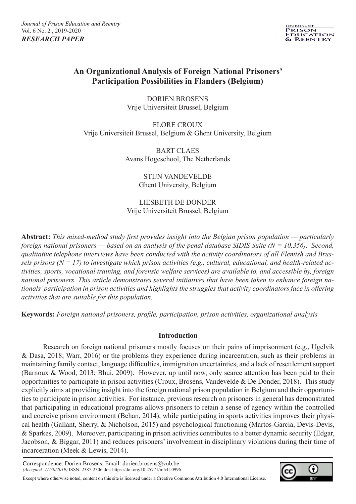

# **An Organizational Analysis of Foreign National Prisoners' Participation Possibilities in Flanders (Belgium)**

DORIEN BROSENS Vrije Universiteit Brussel, Belgium

FLORE CROUX Vrije Universiteit Brussel, Belgium & Ghent University, Belgium

> BART CLAES Avans Hogeschool, The Netherlands

> > STIJN VANDEVELDE Ghent University, Belgium

LIESBETH DE DONDER Vrije Universiteit Brussel, Belgium

**Abstract:** *This mixed-method study first provides insight into the Belgian prison population — particularly foreign national prisoners — based on an analysis of the penal database SIDIS Suite (N = 10,356). Second, qualitative telephone interviews have been conducted with the activity coordinators of all Flemish and Brussels prisons (N = 17) to investigate which prison activities (e.g., cultural, educational, and health-related activities, sports, vocational training, and forensic welfare services) are available to, and accessible by, foreign national prisoners. This article demonstrates several initiatives that have been taken to enhance foreign nationals' participation in prison activities and highlights the struggles that activity coordinators face in offering activities that are suitable for this population.* 

**Keywords:** *Foreign national prisoners, profile, participation, prison activities, organizational analysis*

# **Introduction**

Research on foreign national prisoners mostly focuses on their pains of imprisonment (e.g., Ugelvik & Dasa, 2018; Warr, 2016) or the problems they experience during incarceration, such as their problems in maintaining family contact, language difficulties, immigration uncertainties, and a lack of resettlement support (Barnoux & Wood, 2013; Bhui, 2009). However, up until now, only scarce attention has been paid to their opportunities to participate in prison activities (Croux, Brosens, Vandevelde & De Donder, 2018). This study explicitly aims at providing insight into the foreign national prison population in Belgium and their opportunities to participate in prison activities. For instance, previous research on prisoners in general has demonstrated that participating in educational programs allows prisoners to retain a sense of agency within the controlled and coercive prison environment (Behan, 2014), while participating in sports activities improves their physical health (Gallant, Sherry, & Nicholson, 2015) and psychological functioning (Martos-García, Devís-Devís, & Sparkes, 2009). Moreover, participating in prison activities contributes to a better dynamic security (Edgar, Jacobson, & Biggar, 2011) and reduces prisoners' involvement in disciplinary violations during their time of incarceration (Meek & Lewis, 2014).

Correspondence: Dorien Brosens, Email: dorien.brosens@vub.be *(Accepted: 11/30/2019)* ISSN: 2387-2306 doi: https://doi.org/10.25771/mh4f-0996

Except where otherwise noted, content on this site is licensed under a Creative Commons Attribution 4.0 International License.

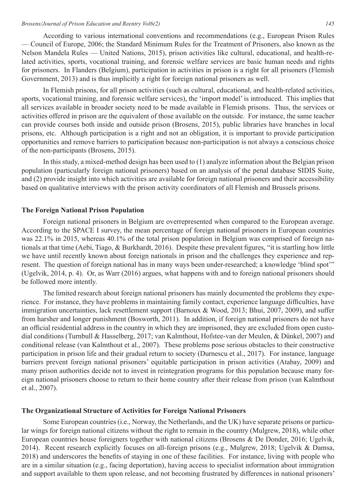According to various international conventions and recommendations (e.g., European Prison Rules — Council of Europe, 2006; the Standard Minimum Rules for the Treatment of Prisoners, also known as the Nelson Mandela Rules — United Nations, 2015), prison activities like cultural, educational, and health-related activities, sports, vocational training, and forensic welfare services are basic human needs and rights for prisoners. In Flanders (Belgium), participation in activities in prison is a right for all prisoners (Flemish Government, 2013) and is thus implicitly a right for foreign national prisoners as well.

In Flemish prisons, for all prison activities (such as cultural, educational, and health-related activities, sports, vocational training, and forensic welfare services), the 'import model' is introduced. This implies that all services available in broader society need to be made available in Flemish prisons. Thus, the services or activities offered in prison are the equivalent of those available on the outside. For instance, the same teacher can provide courses both inside and outside prison (Brosens, 2015), public libraries have branches in local prisons, etc. Although participation is a right and not an obligation, it is important to provide participation opportunities and remove barriers to participation because non-participation is not always a conscious choice of the non-participants (Brosens, 2015).

In this study, a mixed-method design has been used to (1) analyze information about the Belgian prison population (particularly foreign national prisoners) based on an analysis of the penal database SIDIS Suite, and (2) provide insight into which activities are available for foreign national prisoners and their accessibility based on qualitative interviews with the prison activity coordinators of all Flemish and Brussels prisons.

#### **The Foreign National Prison Population**

Foreign national prisoners in Belgium are overrepresented when compared to the European average. According to the SPACE I survey, the mean percentage of foreign national prisoners in European countries was 22.1% in 2015, whereas 40.1% of the total prison population in Belgium was comprised of foreign nationals at that time (Aebi, Tiago, & Burkhardt, 2016). Despite these prevalent figures, "it is startling how little we have until recently known about foreign nationals in prison and the challenges they experience and represent. The question of foreign national has in many ways been under-researched; a knowledge 'blind spot'" (Ugelvik, 2014, p. 4). Or, as Warr (2016) argues, what happens with and to foreign national prisoners should be followed more intently.

The limited research about foreign national prisoners has mainly documented the problems they experience. For instance, they have problems in maintaining family contact, experience language difficulties, have immigration uncertainties, lack resettlement support (Barnoux & Wood, 2013; Bhui, 2007, 2009), and suffer from harsher and longer punishment (Bosworth, 2011). In addition, if foreign national prisoners do not have an official residential address in the country in which they are imprisoned, they are excluded from open custodial conditions (Turnbull & Hasselberg, 2017; van Kalmthout, Hofstee-van der Meulen, & Dünkel, 2007) and conditional release (van Kalmthout et al., 2007). These problems pose serious obstacles to their constructive participation in prison life and their gradual return to society (Durnescu et al., 2017). For instance, language barriers prevent foreign national prisoners' equitable participation in prison activities (Atabay, 2009) and many prison authorities decide not to invest in reintegration programs for this population because many foreign national prisoners choose to return to their home country after their release from prison (van Kalmthout et al., 2007).

# **The Organizational Structure of Activities for Foreign National Prisoners**

Some European countries (i.e., Norway, the Netherlands, and the UK) have separate prisons or particular wings for foreign national citizens without the right to remain in the country (Mulgrew, 2018), while other European countries house foreigners together with national citizens (Brosens & De Donder, 2016; Ugelvik, 2014). Recent research explicitly focuses on all-foreign prisons (e.g., Mulgrew, 2018; Ugelvik & Damsa, 2018) and underscores the benefits of staying in one of these facilities. For instance, living with people who are in a similar situation (e.g., facing deportation), having access to specialist information about immigration and support available to them upon release, and not becoming frustrated by differences in national prisoners'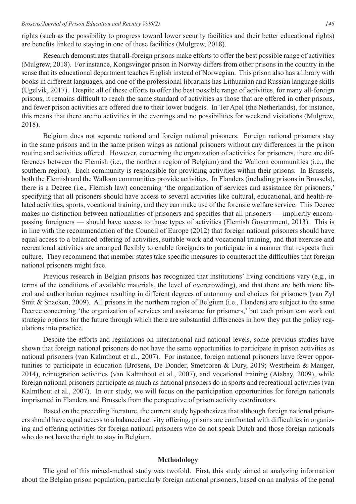rights (such as the possibility to progress toward lower security facilities and their better educational rights) are benefits linked to staying in one of these facilities (Mulgrew, 2018).

Research demonstrates that all-foreign prisons make efforts to offer the best possible range of activities (Mulgrew, 2018). For instance, Kongsvinger prison in Norway differs from other prisons in the country in the sense that its educational department teaches English instead of Norwegian. This prison also has a library with books in different languages, and one of the professional librarians has Lithuanian and Russian language skills (Ugelvik, 2017). Despite all of these efforts to offer the best possible range of activities, for many all-foreign prisons, it remains difficult to reach the same standard of activities as those that are offered in other prisons, and fewer prison activities are offered due to their lower budgets. In Ter Apel (the Netherlands), for instance, this means that there are no activities in the evenings and no possibilities for weekend visitations (Mulgrew, 2018).

Belgium does not separate national and foreign national prisoners. Foreign national prisoners stay in the same prisons and in the same prison wings as national prisoners without any differences in the prison routine and activities offered. However, concerning the organization of activities for prisoners, there are differences between the Flemish (i.e., the northern region of Belgium) and the Walloon communities (i.e., the southern region). Each community is responsible for providing activities within their prisons. In Brussels, both the Flemish and the Walloon communities provide activities. In Flanders (including prisons in Brussels), there is a Decree (i.e., Flemish law) concerning 'the organization of services and assistance for prisoners,' specifying that all prisoners should have access to several activities like cultural, educational, and health-related activities, sports, vocational training, and they can make use of the forensic welfare service. This Decree makes no distinction between nationalities of prisoners and specifies that all prisoners — implicitly encompassing foreigners — should have access to those types of activities (Flemish Government, 2013). This is in line with the recommendation of the Council of Europe (2012) that foreign national prisoners should have equal access to a balanced offering of activities, suitable work and vocational training, and that exercise and recreational activities are arranged flexibly to enable foreigners to participate in a manner that respects their culture. They recommend that member states take specific measures to counteract the difficulties that foreign national prisoners might face.

Previous research in Belgian prisons has recognized that institutions' living conditions vary (e.g., in terms of the conditions of available materials, the level of overcrowding), and that there are both more liberal and authoritarian regimes resulting in different degrees of autonomy and choices for prisoners (van Zyl Smit & Snacken, 2009). All prisons in the northern region of Belgium (i.e., Flanders) are subject to the same Decree concerning 'the organization of services and assistance for prisoners,' but each prison can work out strategic options for the future through which there are substantial differences in how they put the policy regulations into practice.

Despite the efforts and regulations on international and national levels, some previous studies have shown that foreign national prisoners do not have the same opportunities to participate in prison activities as national prisoners (van Kalmthout et al., 2007). For instance, foreign national prisoners have fewer opportunities to participate in education (Brosens, De Donder, Smetcoren & Dury, 2019; Westrheim & Manger, 2014), reintegration activities (van Kalmthout et al., 2007), and vocational training (Atabay, 2009), while foreign national prisoners participate as much as national prisoners do in sports and recreational activities (van Kalmthout et al., 2007). In our study, we will focus on the participation opportunities for foreign nationals imprisoned in Flanders and Brussels from the perspective of prison activity coordinators.

Based on the preceding literature, the current study hypothesizes that although foreign national prisoners should have equal access to a balanced activity offering, prisons are confronted with difficulties in organizing and offering activities for foreign national prisoners who do not speak Dutch and those foreign nationals who do not have the right to stay in Belgium.

#### **Methodology**

The goal of this mixed-method study was twofold. First, this study aimed at analyzing information about the Belgian prison population, particularly foreign national prisoners, based on an analysis of the penal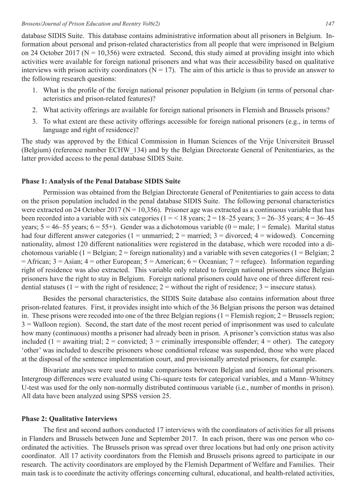database SIDIS Suite. This database contains administrative information about all prisoners in Belgium. Information about personal and prison-related characteristics from all people that were imprisoned in Belgium on 24 October 2017 ( $N = 10,356$ ) were extracted. Second, this study aimed at providing insight into which activities were available for foreign national prisoners and what was their accessibility based on qualitative interviews with prison activity coordinators ( $N = 17$ ). The aim of this article is thus to provide an answer to the following research questions:

- 1. What is the profile of the foreign national prisoner population in Belgium (in terms of personal characteristics and prison-related features)?
- 2. What activity offerings are available for foreign national prisoners in Flemish and Brussels prisons?
- 3. To what extent are these activity offerings accessible for foreign national prisoners (e.g., in terms of language and right of residence)?

The study was approved by the Ethical Commission in Human Sciences of the Vrije Universiteit Brussel (Belgium) (reference number ECHW\_134) and by the Belgian Directorate General of Penitentiaries, as the latter provided access to the penal database SIDIS Suite.

# **Phase 1: Analysis of the Penal Database SIDIS Suite**

Permission was obtained from the Belgian Directorate General of Penitentiaries to gain access to data on the prison population included in the penal database SIDIS Suite. The following personal characteristics were extracted on 24 October 2017 ( $N = 10,356$ ). Prisoner age was extracted as a continuous variable that has been recorded into a variable with six categories ( $1 = < 18$  years;  $2 = 18-25$  years;  $3 = 26-35$  years;  $4 = 36-45$ years;  $5 = 46-55$  years;  $6 = 55+$ ). Gender was a dichotomous variable  $(0 = \text{male}; 1 = \text{female})$ . Marital status had four different answer categories ( $1 =$  unmarried;  $2 =$  married;  $3 =$  divorced;  $4 =$  widowed). Concerning nationality, almost 120 different nationalities were registered in the database, which were recoded into a dichotomous variable (1 = Belgian; 2 = foreign nationality) and a variable with seven categories (1 = Belgian; 2  $=$  African; 3 = Asian; 4 = other European; 5 = American; 6 = Oceanian; 7 = refugee). Information regarding right of residence was also extracted. This variable only related to foreign national prisoners since Belgian prisoners have the right to stay in Belgium. Foreign national prisoners could have one of three different residential statuses (1 = with the right of residence; 2 = without the right of residence;  $3$  = insecure status).

Besides the personal characteristics, the SIDIS Suite database also contains information about three prison-related features. First, it provides insight into which of the 36 Belgian prisons the person was detained in. These prisons were recoded into one of the three Belgian regions  $(1 =$  Flemish region;  $2 =$  Brussels region; 3 = Walloon region). Second, the start date of the most recent period of imprisonment was used to calculate how many (continuous) months a prisoner had already been in prison. A prisoner's conviction status was also included (1 = awaiting trial; 2 = convicted; 3 = criminally irresponsible offender; 4 = other). The category 'other' was included to describe prisoners whose conditional release was suspended, those who were placed at the disposal of the sentence implementation court, and provisionally arrested prisoners, for example.

Bivariate analyses were used to make comparisons between Belgian and foreign national prisoners. Intergroup differences were evaluated using Chi-square tests for categorical variables, and a Mann–Whitney U-test was used for the only non-normally distributed continuous variable (i.e., number of months in prison). All data have been analyzed using SPSS version 25.

### **Phase 2: Qualitative Interviews**

The first and second authors conducted 17 interviews with the coordinators of activities for all prisons in Flanders and Brussels between June and September 2017. In each prison, there was one person who coordinated the activities. The Brussels prison was spread over three locations but had only one prison activity coordinator. All 17 activity coordinators from the Flemish and Brussels prisons agreed to participate in our research. The activity coordinators are employed by the Flemish Department of Welfare and Families. Their main task is to coordinate the activity offerings concerning cultural, educational, and health-related activities,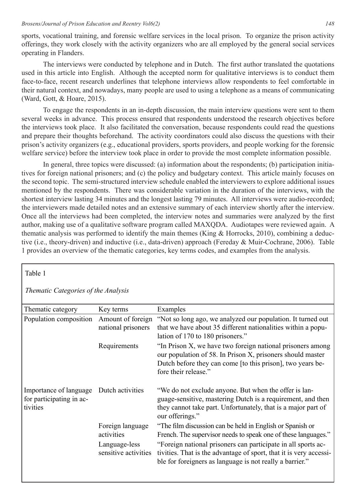sports, vocational training, and forensic welfare services in the local prison. To organize the prison activity offerings, they work closely with the activity organizers who are all employed by the general social services operating in Flanders.

The interviews were conducted by telephone and in Dutch. The first author translated the quotations used in this article into English. Although the accepted norm for qualitative interviews is to conduct them face-to-face, recent research underlines that telephone interviews allow respondents to feel comfortable in their natural context, and nowadays, many people are used to using a telephone as a means of communicating (Ward, Gott, & Hoare, 2015).

To engage the respondents in an in-depth discussion, the main interview questions were sent to them several weeks in advance. This process ensured that respondents understood the research objectives before the interviews took place. It also facilitated the conversation, because respondents could read the questions and prepare their thoughts beforehand. The activity coordinators could also discuss the questions with their prison's activity organizers (e.g., educational providers, sports providers, and people working for the forensic welfare service) before the interview took place in order to provide the most complete information possible.

In general, three topics were discussed: (a) information about the respondents; (b) participation initiatives for foreign national prisoners; and (c) the policy and budgetary context. This article mainly focuses on the second topic. The semi-structured interview schedule enabled the interviewers to explore additional issues mentioned by the respondents. There was considerable variation in the duration of the interviews, with the shortest interview lasting 34 minutes and the longest lasting 79 minutes. All interviews were audio-recorded; the interviewers made detailed notes and an extensive summary of each interview shortly after the interview. Once all the interviews had been completed, the interview notes and summaries were analyzed by the first author, making use of a qualitative software program called MAXQDA. Audiotapes were reviewed again. A thematic analysis was performed to identify the main themes (King & Horrocks, 2010), combining a deductive (i.e., theory-driven) and inductive (i.e., data-driven) approach (Fereday & Muir-Cochrane, 2006). Table 1 provides an overview of the thematic categories, key terms codes, and examples from the analysis.

| Table 1                                                        |                                                                         |                                                                                                                                                                                                                                                                                                                                |  |  |
|----------------------------------------------------------------|-------------------------------------------------------------------------|--------------------------------------------------------------------------------------------------------------------------------------------------------------------------------------------------------------------------------------------------------------------------------------------------------------------------------|--|--|
| Thematic Categories of the Analysis                            |                                                                         |                                                                                                                                                                                                                                                                                                                                |  |  |
| Thematic category                                              | Key terms                                                               | Examples                                                                                                                                                                                                                                                                                                                       |  |  |
| Population composition                                         | Amount of foreign<br>national prisoners                                 | "Not so long ago, we analyzed our population. It turned out<br>that we have about 35 different nationalities within a popu-<br>lation of 170 to 180 prisoners."                                                                                                                                                                |  |  |
|                                                                | Requirements                                                            | "In Prison X, we have two foreign national prisoners among<br>our population of 58. In Prison X, prisoners should master<br>Dutch before they can come [to this prison], two years be-<br>fore their release."                                                                                                                 |  |  |
| Importance of language<br>for participating in ac-<br>tivities | Dutch activities                                                        | "We do not exclude anyone. But when the offer is lan-<br>guage-sensitive, mastering Dutch is a requirement, and then<br>they cannot take part. Unfortunately, that is a major part of<br>our offerings."                                                                                                                       |  |  |
|                                                                | Foreign language<br>activities<br>Language-less<br>sensitive activities | "The film discussion can be held in English or Spanish or<br>French. The supervisor needs to speak one of these languages."<br>"Foreign national prisoners can participate in all sports ac-<br>tivities. That is the advantage of sport, that it is very accessi-<br>ble for foreigners as language is not really a barrier." |  |  |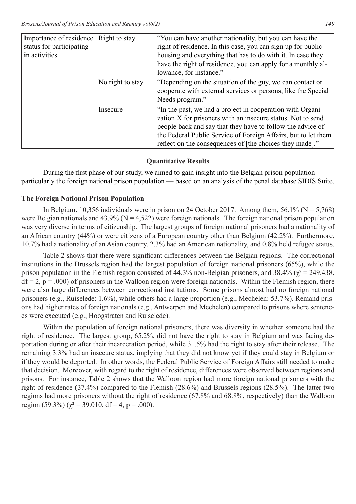| Importance of residence Right to stay<br>status for participating<br>in activities |                  | "You can have another nationality, but you can have the<br>right of residence. In this case, you can sign up for public<br>housing and everything that has to do with it. In case they<br>have the right of residence, you can apply for a monthly al-<br>lowance, for instance."                                     |
|------------------------------------------------------------------------------------|------------------|-----------------------------------------------------------------------------------------------------------------------------------------------------------------------------------------------------------------------------------------------------------------------------------------------------------------------|
|                                                                                    | No right to stay | "Depending on the situation of the guy, we can contact or<br>cooperate with external services or persons, like the Special<br>Needs program."                                                                                                                                                                         |
|                                                                                    | Insecure         | "In the past, we had a project in cooperation with Organi-<br>zation X for prisoners with an insecure status. Not to send<br>people back and say that they have to follow the advice of<br>the Federal Public Service of Foreign Affairs, but to let them<br>reflect on the consequences of [the choices they made]." |

# **Quantitative Results**

During the first phase of our study, we aimed to gain insight into the Belgian prison population particularly the foreign national prison population — based on an analysis of the penal database SIDIS Suite.

# **The Foreign National Prison Population**

In Belgium, 10,356 individuals were in prison on 24 October 2017. Among them, 56.1% ( $N = 5.768$ ) were Belgian nationals and  $43.9\%$  (N = 4,522) were foreign nationals. The foreign national prison population was very diverse in terms of citizenship. The largest groups of foreign national prisoners had a nationality of an African country (44%) or were citizens of a European country other than Belgium (42.2%). Furthermore, 10.7% had a nationality of an Asian country, 2.3% had an American nationality, and 0.8% held refugee status.

Table 2 shows that there were significant differences between the Belgian regions. The correctional institutions in the Brussels region had the largest population of foreign national prisoners (65%), while the prison population in the Flemish region consisted of 44.3% non-Belgian prisoners, and 38.4% ( $\chi^2$  = 249.438,  $df = 2$ ,  $p = .000$ ) of prisoners in the Walloon region were foreign nationals. Within the Flemish region, there were also large differences between correctional institutions. Some prisons almost had no foreign national prisoners (e.g., Ruiselede: 1.6%), while others had a large proportion (e.g., Mechelen: 53.7%). Remand prisons had higher rates of foreign nationals (e.g., Antwerpen and Mechelen) compared to prisons where sentences were executed (e.g., Hoogstraten and Ruiselede).

Within the population of foreign national prisoners, there was diversity in whether someone had the right of residence. The largest group, 65.2%, did not have the right to stay in Belgium and was facing deportation during or after their incarceration period, while 31.5% had the right to stay after their release. The remaining 3.3% had an insecure status, implying that they did not know yet if they could stay in Belgium or if they would be deported. In other words, the Federal Public Service of Foreign Affairs still needed to make that decision. Moreover, with regard to the right of residence, differences were observed between regions and prisons. For instance, Table 2 shows that the Walloon region had more foreign national prisoners with the right of residence (37.4%) compared to the Flemish (28.6%) and Brussels regions (28.5%). The latter two regions had more prisoners without the right of residence (67.8% and 68.8%, respectively) than the Walloon region (59.3%) ( $\chi^2$  = 39.010, df = 4, p = .000).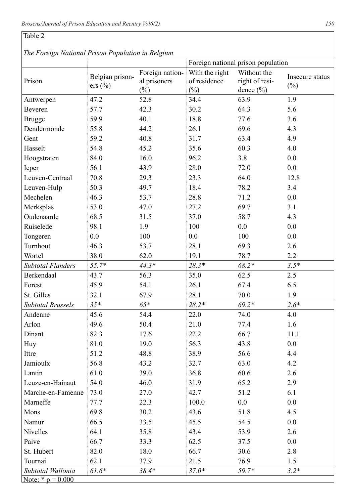# Table 2

 *The Foreign National Prison Population in Belgium*

|                          |                 |                 | Foreign national prison population |                |                           |
|--------------------------|-----------------|-----------------|------------------------------------|----------------|---------------------------|
|                          | Belgian prison- | Foreign nation- | With the right                     | Without the    |                           |
| Prison                   | ers (%)         | al prisoners    | of residence                       | right of resi- | Insecure status<br>$(\%)$ |
|                          |                 | $(\%)$          | $(\%)$                             | dence $(\% )$  |                           |
| Antwerpen                | 47.2            | 52.8            | 34.4                               | 63.9           | 1.9                       |
| Beveren                  | 57.7            | 42.3            | 30.2                               | 64.3           | 5.6                       |
| <b>Brugge</b>            | 59.9            | 40.1            | 18.8                               | 77.6           | 3.6                       |
| Dendermonde              | 55.8            | 44.2            | 26.1                               | 69.6           | 4.3                       |
| Gent                     | 59.2            | 40.8            | 31.7                               | 63.4           | 4.9                       |
| Hasselt                  | 54.8            | 45.2            | 35.6                               | 60.3           | 4.0                       |
| Hoogstraten              | 84.0            | 16.0            | 96.2                               | 3.8            | 0.0                       |
| Ieper                    | 56.1            | 43.9            | 28.0                               | 72.0           | 0.0                       |
| Leuven-Centraal          | 70.8            | 29.3            | 23.3                               | 64.0           | 12.8                      |
| Leuven-Hulp              | 50.3            | 49.7            | 18.4                               | 78.2           | 3.4                       |
| Mechelen                 | 46.3            | 53.7            | 28.8                               | 71.2           | 0.0                       |
| Merksplas                | 53.0            | 47.0            | 27.2                               | 69.7           | 3.1                       |
| Oudenaarde               | 68.5            | 31.5            | 37.0                               | 58.7           | 4.3                       |
| Ruiselede                | 98.1            | 1.9             | 100                                | 0.0            | 0.0                       |
| Tongeren                 | 0.0             | 100             | 0.0                                | 100            | 0.0                       |
| Turnhout                 | 46.3            | 53.7            | 28.1                               | 69.3           | 2.6                       |
| Wortel                   | 38.0            | 62.0            | 19.1                               | 78.7           | $2.2^{\circ}$             |
| <b>Subtotal Flanders</b> | $55.7*$         | $44.3*$         | $28.3*$                            | $68.2*$        | $3.5*$                    |
| Berkendaal               | 43.7            | 56.3            | 35.0                               | 62.5           | 2.5                       |
| Forest                   | 45.9            | 54.1            | 26.1                               | 67.4           | 6.5                       |
| St. Gilles               | 32.1            | 67.9            | 28.1                               | 70.0           | 1.9                       |
| <b>Subtotal Brussels</b> | $35*$           | $65*$           | $28.2*$                            | $69.2*$        | $2.6*$                    |
| Andenne                  | 45.6            | 54.4            | 22.0                               | 74.0           | 4.0                       |
| Arlon                    | 49.6            | 50.4            | 21.0                               | 77.4           | 1.6                       |
| Dinant                   | 82.3            | 17.6            | 22.2                               | 66.7           | 11.1                      |
| Huy                      | 81.0            | 19.0            | 56.3                               | 43.8           | 0.0                       |
| Ittre                    | 51.2            | 48.8            | 38.9                               | 56.6           | 4.4                       |
| Jamioulx                 | 56.8            | 43.2            | 32.7                               | 63.0           | 4.2                       |
| Lantin                   | 61.0            | 39.0            | 36.8                               | 60.6           | 2.6                       |
| Leuze-en-Hainaut         | 54.0            | 46.0            | 31.9                               | 65.2           | 2.9                       |
| Marche-en-Famenne        | 73.0            | 27.0            | 42.7                               | 51.2           | 6.1                       |
| Marneffe                 | 77.7            | 22.3            | 100.0                              | 0.0            | 0.0                       |
| Mons                     | 69.8            | 30.2            | 43.6                               | 51.8           | 4.5                       |
| Namur                    | 66.5            | 33.5            | 45.5                               | 54.5           | $0.0\,$                   |
| Nivelles                 | 64.1            | 35.8            | 43.4                               | 53.9           | 2.6                       |
| Paive                    | 66.7            | 33.3            | 62.5                               | 37.5           | $0.0\,$                   |
| St. Hubert               | 82.0            | 18.0            | 66.7                               | 30.6           | 2.8                       |
| Tournai                  | 62.1            | 37.9            | 21.5                               | 76.9           | 1.5                       |
| Subtotal Wallonia        | $61.6*$         | $38.4*$         | $37.0*$                            | 59.7*          | $3.2*$                    |
| Note: * $p = 0.000$      |                 |                 |                                    |                |                           |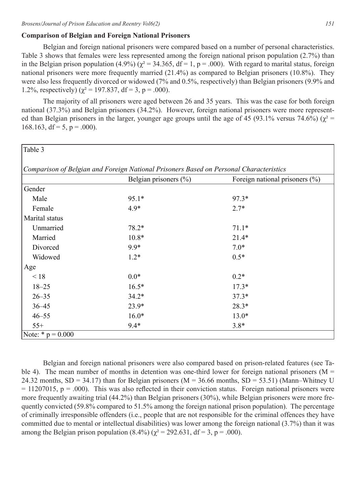### **Comparison of Belgian and Foreign National Prisoners**

Belgian and foreign national prisoners were compared based on a number of personal characteristics. Table 3 shows that females were less represented among the foreign national prison population (2.7%) than in the Belgian prison population (4.9%) ( $\chi^2$  = 34.365, df = 1, p = .000). With regard to marital status, foreign national prisoners were more frequently married (21.4%) as compared to Belgian prisoners (10.8%). They were also less frequently divorced or widowed (7% and 0.5%, respectively) than Belgian prisoners (9.9% and 1.2%, respectively) ( $\chi^2$  = 197.837, df = 3, p = .000).

The majority of all prisoners were aged between 26 and 35 years. This was the case for both foreign national (37.3%) and Belgian prisoners (34.2%). However, foreign national prisoners were more represented than Belgian prisoners in the larger, younger age groups until the age of 45 (93.1% versus 74.6%) ( $\chi^2$  = 168.163, df = 5, p = .000).

| Table 3                                                                                |                           |                                    |  |  |
|----------------------------------------------------------------------------------------|---------------------------|------------------------------------|--|--|
|                                                                                        |                           |                                    |  |  |
| Comparison of Belgian and Foreign National Prisoners Based on Personal Characteristics |                           |                                    |  |  |
|                                                                                        | Belgian prisoners $(\% )$ | Foreign national prisoners $(\% )$ |  |  |
| Gender                                                                                 |                           |                                    |  |  |
| Male                                                                                   | $95.1*$                   | $97.3*$                            |  |  |
| Female                                                                                 | $4.9*$                    | $2.7*$                             |  |  |
| Marital status                                                                         |                           |                                    |  |  |
| Unmarried                                                                              | $78.2*$                   | $71.1*$                            |  |  |
| Married                                                                                | $10.8*$                   | $21.4*$                            |  |  |
| Divorced                                                                               | $9.9*$                    | $7.0*$                             |  |  |
| Widowed                                                                                | $1.2*$                    | $0.5*$                             |  |  |
| Age                                                                                    |                           |                                    |  |  |
| < 18                                                                                   | $0.0*$                    | $0.2*$                             |  |  |
| $18 - 25$                                                                              | $16.5*$                   | $17.3*$                            |  |  |
| $26 - 35$                                                                              | $34.2*$                   | $37.3*$                            |  |  |
| $36 - 45$                                                                              | $23.9*$                   | $28.3*$                            |  |  |
| $46 - 55$                                                                              | $16.0*$                   | $13.0*$                            |  |  |
| $55+$                                                                                  | $9.4*$                    | $3.8*$                             |  |  |
| Note: * $p = 0.000$                                                                    |                           |                                    |  |  |

Belgian and foreign national prisoners were also compared based on prison-related features (see Table 4). The mean number of months in detention was one-third lower for foreign national prisoners ( $M =$ 24.32 months,  $SD = 34.17$ ) than for Belgian prisoners (M = 36.66 months,  $SD = 53.51$ ) (Mann–Whitney U  $= 11207015$ , p = .000). This was also reflected in their conviction status. Foreign national prisoners were more frequently awaiting trial (44.2%) than Belgian prisoners (30%), while Belgian prisoners were more frequently convicted (59.8% compared to 51.5% among the foreign national prison population). The percentage of criminally irresponsible offenders (i.e., people that are not responsible for the criminal offences they have committed due to mental or intellectual disabilities) was lower among the foreign national (3.7%) than it was among the Belgian prison population (8.4%) ( $χ² = 292.631$ , df = 3, p = .000).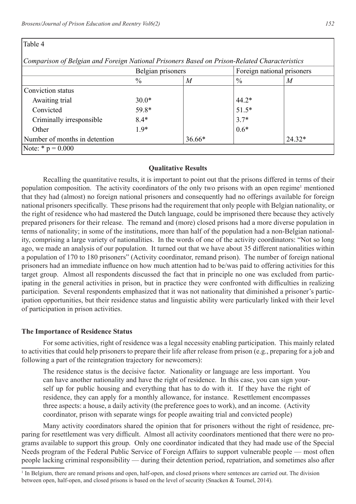| Table 4 |  |
|---------|--|
|---------|--|

 *Comparison of Belgian and Foreign National Prisoners Based on Prison-Related Characteristics*

|                               | Belgian prisoners |                  | Foreign national prisoners |                  |
|-------------------------------|-------------------|------------------|----------------------------|------------------|
|                               | $\frac{0}{0}$     | $\boldsymbol{M}$ | $\frac{0}{0}$              | $\boldsymbol{M}$ |
| Conviction status             |                   |                  |                            |                  |
| Awaiting trial                | $30.0*$           |                  | $44.2*$                    |                  |
| Convicted                     | 59.8*             |                  | $51.5*$                    |                  |
| Criminally irresponsible      | $8.4*$            |                  | $3.7*$                     |                  |
| Other                         | $1.9*$            |                  | $0.6*$                     |                  |
| Number of months in detention |                   | $36.66*$         |                            | 24.32*           |
| Note: * $p = 0.000$           |                   |                  |                            |                  |

### **Qualitative Results**

Recalling the quantitative results, it is important to point out that the prisons differed in terms of their population composition. The activity coordinators of the only two prisons with an open regime<sup>1</sup> mentioned that they had (almost) no foreign national prisoners and consequently had no offerings available for foreign national prisoners specifically. These prisons had the requirement that only people with Belgian nationality, or the right of residence who had mastered the Dutch language, could be imprisoned there because they actively prepared prisoners for their release. The remand and (more) closed prisons had a more diverse population in terms of nationality; in some of the institutions, more than half of the population had a non-Belgian nationality, comprising a large variety of nationalities. In the words of one of the activity coordinators: "Not so long ago, we made an analysis of our population. It turned out that we have about 35 different nationalities within a population of 170 to 180 prisoners" (Activity coordinator, remand prison). The number of foreign national prisoners had an immediate influence on how much attention had to be/was paid to offering activities for this target group. Almost all respondents discussed the fact that in principle no one was excluded from participating in the general activities in prison, but in practice they were confronted with difficulties in realizing participation. Several respondents emphasized that it was not nationality that diminished a prisoner's participation opportunities, but their residence status and linguistic ability were particularly linked with their level of participation in prison activities.

#### **The Importance of Residence Status**

For some activities, right of residence was a legal necessity enabling participation. This mainly related to activities that could help prisoners to prepare their life after release from prison (e.g., preparing for a job and following a part of the reintegration trajectory for newcomers):

The residence status is the decisive factor. Nationality or language are less important. You can have another nationality and have the right of residence. In this case, you can sign yourself up for public housing and everything that has to do with it. If they have the right of residence, they can apply for a monthly allowance, for instance. Resettlement encompasses three aspects: a house, a daily activity (the preference goes to work), and an income. (Activity coordinator, prison with separate wings for people awaiting trial and convicted people)

Many activity coordinators shared the opinion that for prisoners without the right of residence, preparing for resettlement was very difficult. Almost all activity coordinators mentioned that there were no programs available to support this group. Only one coordinator indicated that they had made use of the Special Needs program of the Federal Public Service of Foreign Affairs to support vulnerable people — most often people lacking criminal responsibility — during their detention period, repatriation, and sometimes also after

<sup>&</sup>lt;sup>1</sup> In Belgium, there are remand prisons and open, half-open, and closed prisons where sentences are carried out. The division between open, half-open, and closed prisons is based on the level of security (Snacken & Tournel, 2014).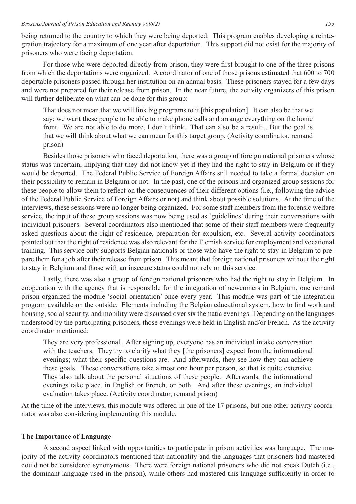being returned to the country to which they were being deported. This program enables developing a reintegration trajectory for a maximum of one year after deportation. This support did not exist for the majority of prisoners who were facing deportation.

For those who were deported directly from prison, they were first brought to one of the three prisons from which the deportations were organized. A coordinator of one of those prisons estimated that 600 to 700 deportable prisoners passed through her institution on an annual basis. These prisoners stayed for a few days and were not prepared for their release from prison. In the near future, the activity organizers of this prison will further deliberate on what can be done for this group:

That does not mean that we will link big programs to it [this population]. It can also be that we say: we want these people to be able to make phone calls and arrange everything on the home front. We are not able to do more, I don't think. That can also be a result... But the goal is that we will think about what we can mean for this target group. (Activity coordinator, remand prison)

Besides those prisoners who faced deportation, there was a group of foreign national prisoners whose status was uncertain, implying that they did not know yet if they had the right to stay in Belgium or if they would be deported. The Federal Public Service of Foreign Affairs still needed to take a formal decision on their possibility to remain in Belgium or not. In the past, one of the prisons had organized group sessions for these people to allow them to reflect on the consequences of their different options (i.e., following the advice of the Federal Public Service of Foreign Affairs or not) and think about possible solutions. At the time of the interviews, these sessions were no longer being organized. For some staff members from the forensic welfare service, the input of these group sessions was now being used as 'guidelines' during their conversations with individual prisoners. Several coordinators also mentioned that some of their staff members were frequently asked questions about the right of residence, preparation for expulsion, etc. Several activity coordinators pointed out that the right of residence was also relevant for the Flemish service for employment and vocational training. This service only supports Belgian nationals or those who have the right to stay in Belgium to prepare them for a job after their release from prison. This meant that foreign national prisoners without the right to stay in Belgium and those with an insecure status could not rely on this service.

Lastly, there was also a group of foreign national prisoners who had the right to stay in Belgium. In cooperation with the agency that is responsible for the integration of newcomers in Belgium, one remand prison organized the module 'social orientation' once every year. This module was part of the integration program available on the outside. Elements including the Belgian educational system, how to find work and housing, social security, and mobility were discussed over six thematic evenings. Depending on the languages understood by the participating prisoners, those evenings were held in English and/or French. As the activity coordinator mentioned:

They are very professional. After signing up, everyone has an individual intake conversation with the teachers. They try to clarify what they [the prisoners] expect from the informational evenings; what their specific questions are. And afterwards, they see how they can achieve these goals. These conversations take almost one hour per person, so that is quite extensive. They also talk about the personal situations of these people. Afterwards, the informational evenings take place, in English or French, or both. And after these evenings, an individual evaluation takes place. (Activity coordinator, remand prison)

At the time of the interviews, this module was offered in one of the 17 prisons, but one other activity coordinator was also considering implementing this module.

### **The Importance of Language**

A second aspect linked with opportunities to participate in prison activities was language. The majority of the activity coordinators mentioned that nationality and the languages that prisoners had mastered could not be considered synonymous. There were foreign national prisoners who did not speak Dutch (i.e., the dominant language used in the prison), while others had mastered this language sufficiently in order to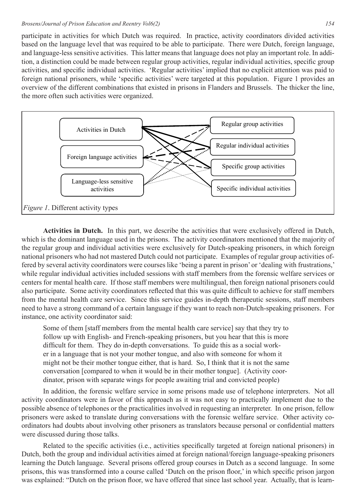participate in activities for which Dutch was required. In practice, activity coordinators divided activities based on the language level that was required to be able to participate. There were Dutch, foreign language, and language-less sensitive activities. This latter means that language does not play an important role. In addition, a distinction could be made between regular group activities, regular individual activities, specific group activities, and specific individual activities. 'Regular activities' implied that no explicit attention was paid to foreign national prisoners, while 'specific activities' were targeted at this population. Figure 1 provides an overview of the different combinations that existed in prisons in Flanders and Brussels. The thicker the line, the more often such activities were organized.



**Activities in Dutch.** In this part, we describe the activities that were exclusively offered in Dutch, which is the dominant language used in the prisons. The activity coordinators mentioned that the majority of the regular group and individual activities were exclusively for Dutch-speaking prisoners, in which foreign national prisoners who had not mastered Dutch could not participate. Examples of regular group activities offered by several activity coordinators were courses like 'being a parent in prison' or 'dealing with frustrations,' while regular individual activities included sessions with staff members from the forensic welfare services or centers for mental health care. If those staff members were multilingual, then foreign national prisoners could also participate. Some activity coordinators reflected that this was quite difficult to achieve for staff members from the mental health care service. Since this service guides in-depth therapeutic sessions, staff members need to have a strong command of a certain language if they want to reach non-Dutch-speaking prisoners. For instance, one activity coordinator said:

Some of them [staff members from the mental health care service] say that they try to follow up with English- and French-speaking prisoners, but you hear that this is more difficult for them. They do in-depth conversations. To guide this as a social worker in a language that is not your mother tongue, and also with someone for whom it might not be their mother tongue either, that is hard. So, I think that it is not the same conversation [compared to when it would be in their mother tongue]. (Activity coordinator, prison with separate wings for people awaiting trial and convicted people)

In addition, the forensic welfare service in some prisons made use of telephone interpreters. Not all activity coordinators were in favor of this approach as it was not easy to practically implement due to the possible absence of telephones or the practicalities involved in requesting an interpreter. In one prison, fellow prisoners were asked to translate during conversations with the forensic welfare service. Other activity coordinators had doubts about involving other prisoners as translators because personal or confidential matters were discussed during those talks.

Related to the specific activities (i.e., activities specifically targeted at foreign national prisoners) in Dutch, both the group and individual activities aimed at foreign national/foreign language-speaking prisoners learning the Dutch language. Several prisons offered group courses in Dutch as a second language. In some prisons, this was transformed into a course called 'Dutch on the prison floor,' in which specific prison jargon was explained: "Dutch on the prison floor, we have offered that since last school year. Actually, that is learn-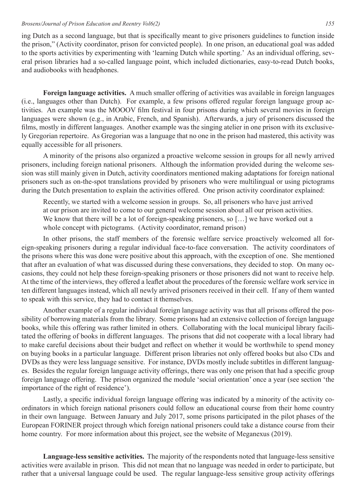ing Dutch as a second language, but that is specifically meant to give prisoners guidelines to function inside the prison," (Activity coordinator, prison for convicted people). In one prison, an educational goal was added to the sports activities by experimenting with 'learning Dutch while sporting.' As an individual offering, several prison libraries had a so-called language point, which included dictionaries, easy-to-read Dutch books, and audiobooks with headphones.

**Foreign language activities.** A much smaller offering of activities was available in foreign languages (i.e., languages other than Dutch). For example, a few prisons offered regular foreign language group activities. An example was the MOOOV film festival in four prisons during which several movies in foreign languages were shown (e.g., in Arabic, French, and Spanish). Afterwards, a jury of prisoners discussed the films, mostly in different languages. Another example was the singing atelier in one prison with its exclusively Gregorian repertoire. As Gregorian was a language that no one in the prison had mastered, this activity was equally accessible for all prisoners.

A minority of the prisons also organized a proactive welcome session in groups for all newly arrived prisoners, including foreign national prisoners. Although the information provided during the welcome session was still mainly given in Dutch, activity coordinators mentioned making adaptations for foreign national prisoners such as on-the-spot translations provided by prisoners who were multilingual or using pictograms during the Dutch presentation to explain the activities offered. One prison activity coordinator explained:

Recently, we started with a welcome session in groups. So, all prisoners who have just arrived at our prison are invited to come to our general welcome session about all our prison activities. We know that there will be a lot of foreign-speaking prisoners, so [...] we have worked out a whole concept with pictograms. (Activity coordinator, remand prison)

In other prisons, the staff members of the forensic welfare service proactively welcomed all foreign-speaking prisoners during a regular individual face-to-face conversation. The activity coordinators of the prisons where this was done were positive about this approach, with the exception of one. She mentioned that after an evaluation of what was discussed during these conversations, they decided to stop. On many occasions, they could not help these foreign-speaking prisoners or those prisoners did not want to receive help. At the time of the interviews, they offered a leaflet about the procedures of the forensic welfare work service in ten different languages instead, which all newly arrived prisoners received in their cell. If any of them wanted to speak with this service, they had to contact it themselves.

Another example of a regular individual foreign language activity was that all prisons offered the possibility of borrowing materials from the library. Some prisons had an extensive collection of foreign language books, while this offering was rather limited in others. Collaborating with the local municipal library facilitated the offering of books in different languages. The prisons that did not cooperate with a local library had to make careful decisions about their budget and reflect on whether it would be worthwhile to spend money on buying books in a particular language. Different prison libraries not only offered books but also CDs and DVDs as they were less language sensitive. For instance, DVDs mostly include subtitles in different languages. Besides the regular foreign language activity offerings, there was only one prison that had a specific group foreign language offering. The prison organized the module 'social orientation' once a year (see section 'the importance of the right of residence').

Lastly, a specific individual foreign language offering was indicated by a minority of the activity coordinators in which foreign national prisoners could follow an educational course from their home country in their own language. Between January and July 2017, some prisons participated in the pilot phases of the European FORINER project through which foreign national prisoners could take a distance course from their home country. For more information about this project, see the website of Meganexus (2019).

**Language-less sensitive activities.** The majority of the respondents noted that language-less sensitive activities were available in prison. This did not mean that no language was needed in order to participate, but rather that a universal language could be used. The regular language-less sensitive group activity offerings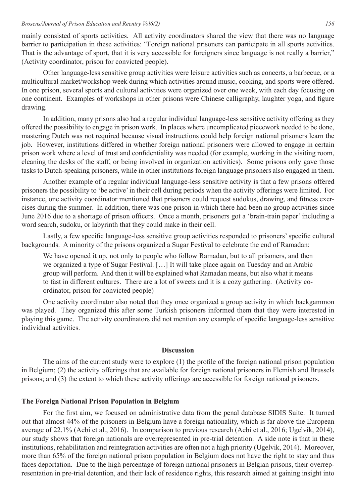mainly consisted of sports activities. All activity coordinators shared the view that there was no language barrier to participation in these activities: "Foreign national prisoners can participate in all sports activities. That is the advantage of sport, that it is very accessible for foreigners since language is not really a barrier," (Activity coordinator, prison for convicted people).

Other language-less sensitive group activities were leisure activities such as concerts, a barbecue, or a multicultural market/workshop week during which activities around music, cooking, and sports were offered. In one prison, several sports and cultural activities were organized over one week, with each day focusing on one continent. Examples of workshops in other prisons were Chinese calligraphy, laughter yoga, and figure drawing.

In addition, many prisons also had a regular individual language-less sensitive activity offering as they offered the possibility to engage in prison work. In places where uncomplicated piecework needed to be done, mastering Dutch was not required because visual instructions could help foreign national prisoners learn the job. However, institutions differed in whether foreign national prisoners were allowed to engage in certain prison work where a level of trust and confidentiality was needed (for example, working in the visiting room, cleaning the desks of the staff, or being involved in organization activities). Some prisons only gave those tasks to Dutch-speaking prisoners, while in other institutions foreign language prisoners also engaged in them.

Another example of a regular individual language-less sensitive activity is that a few prisons offered prisoners the possibility to 'be active' in their cell during periods when the activity offerings were limited. For instance, one activity coordinator mentioned that prisoners could request sudokus, drawing, and fitness exercises during the summer. In addition, there was one prison in which there had been no group activities since June 2016 due to a shortage of prison officers. Once a month, prisoners got a 'brain-train paper' including a word search, sudoku, or labyrinth that they could make in their cell.

Lastly, a few specific language-less sensitive group activities responded to prisoners' specific cultural backgrounds. A minority of the prisons organized a Sugar Festival to celebrate the end of Ramadan:

We have opened it up, not only to people who follow Ramadan, but to all prisoners, and then we organized a type of Sugar Festival. […] It will take place again on Tuesday and an Arabic group will perform. And then it will be explained what Ramadan means, but also what it means to fast in different cultures. There are a lot of sweets and it is a cozy gathering. (Activity coordinator, prison for convicted people)

One activity coordinator also noted that they once organized a group activity in which backgammon was played. They organized this after some Turkish prisoners informed them that they were interested in playing this game. The activity coordinators did not mention any example of specific language-less sensitive individual activities.

# **Discussion**

The aims of the current study were to explore (1) the profile of the foreign national prison population in Belgium; (2) the activity offerings that are available for foreign national prisoners in Flemish and Brussels prisons; and (3) the extent to which these activity offerings are accessible for foreign national prisoners.

# **The Foreign National Prison Population in Belgium**

For the first aim, we focused on administrative data from the penal database SIDIS Suite. It turned out that almost 44% of the prisoners in Belgium have a foreign nationality, which is far above the European average of 22.1% (Aebi et al., 2016). In comparison to previous research (Aebi et al., 2016; Ugelvik, 2014), our study shows that foreign nationals are overrepresented in pre-trial detention. A side note is that in these institutions, rehabilitation and reintegration activities are often not a high priority (Ugelvik, 2014). Moreover, more than 65% of the foreign national prison population in Belgium does not have the right to stay and thus faces deportation. Due to the high percentage of foreign national prisoners in Belgian prisons, their overrepresentation in pre-trial detention, and their lack of residence rights, this research aimed at gaining insight into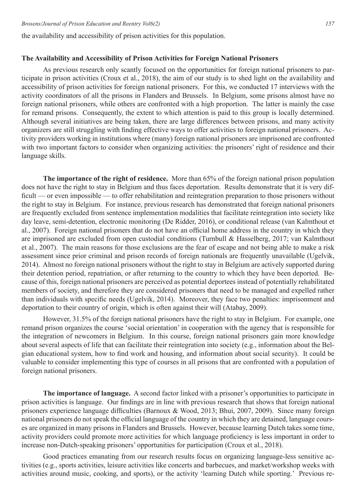the availability and accessibility of prison activities for this population.

# **The Availability and Accessibility of Prison Activities for Foreign National Prisoners**

As previous research only scantly focused on the opportunities for foreign national prisoners to participate in prison activities (Croux et al., 2018), the aim of our study is to shed light on the availability and accessibility of prison activities for foreign national prisoners. For this, we conducted 17 interviews with the activity coordinators of all the prisons in Flanders and Brussels. In Belgium, some prisons almost have no foreign national prisoners, while others are confronted with a high proportion. The latter is mainly the case for remand prisons. Consequently, the extent to which attention is paid to this group is locally determined. Although several initiatives are being taken, there are large differences between prisons, and many activity organizers are still struggling with finding effective ways to offer activities to foreign national prisoners. Activity providers working in institutions where (many) foreign national prisoners are imprisoned are confronted with two important factors to consider when organizing activities: the prisoners' right of residence and their language skills.

**The importance of the right of residence.** More than 65% of the foreign national prison population does not have the right to stay in Belgium and thus faces deportation. Results demonstrate that it is very difficult — or even impossible — to offer rehabilitation and reintegration preparation to those prisoners without the right to stay in Belgium. For instance, previous research has demonstrated that foreign national prisoners are frequently excluded from sentence implementation modalities that facilitate reintegration into society like day leave, semi-detention, electronic monitoring (De Ridder, 2016), or conditional release (van Kalmthout et al., 2007). Foreign national prisoners that do not have an official home address in the country in which they are imprisoned are excluded from open custodial conditions (Turnbull & Hasselberg, 2017; van Kalmthout et al., 2007). The main reasons for those exclusions are the fear of escape and not being able to make a risk assessment since prior criminal and prison records of foreign nationals are frequently unavailable (Ugelvik, 2014). Almost no foreign national prisoners without the right to stay in Belgium are actively supported during their detention period, repatriation, or after returning to the country to which they have been deported. Because of this, foreign national prisoners are perceived as potential deportees instead of potentially rehabilitated members of society, and therefore they are considered prisoners that need to be managed and expelled rather than individuals with specific needs (Ugelvik, 2014). Moreover, they face two penalties: imprisonment and deportation to their country of origin, which is often against their will (Atabay, 2009).

However, 31.5% of the foreign national prisoners have the right to stay in Belgium. For example, one remand prison organizes the course 'social orientation' in cooperation with the agency that is responsible for the integration of newcomers in Belgium. In this course, foreign national prisoners gain more knowledge about several aspects of life that can facilitate their reintegration into society (e.g., information about the Belgian educational system, how to find work and housing, and information about social security). It could be valuable to consider implementing this type of courses in all prisons that are confronted with a population of foreign national prisoners.

**The importance of language.** A second factor linked with a prisoner's opportunities to participate in prison activities is language. Our findings are in line with previous research that shows that foreign national prisoners experience language difficulties (Barnoux & Wood, 2013; Bhui, 2007, 2009). Since many foreign national prisoners do not speak the official language of the country in which they are detained, language courses are organized in many prisons in Flanders and Brussels. However, because learning Dutch takes some time, activity providers could promote more activities for which language proficiency is less important in order to increase non-Dutch-speaking prisoners' opportunities for participation (Croux et al., 2018).

Good practices emanating from our research results focus on organizing language-less sensitive activities (e.g., sports activities, leisure activities like concerts and barbecues, and market/workshop weeks with activities around music, cooking, and sports), or the activity 'learning Dutch while sporting.' Previous re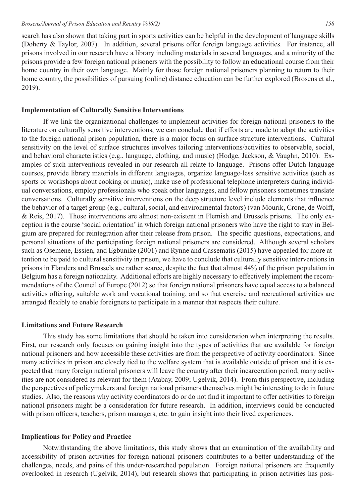search has also shown that taking part in sports activities can be helpful in the development of language skills (Doherty & Taylor, 2007). In addition, several prisons offer foreign language activities. For instance, all prisons involved in our research have a library including materials in several languages, and a minority of the prisons provide a few foreign national prisoners with the possibility to follow an educational course from their home country in their own language. Mainly for those foreign national prisoners planning to return to their home country, the possibilities of pursuing (online) distance education can be further explored (Brosens et al., 2019).

#### **Implementation of Culturally Sensitive Interventions**

If we link the organizational challenges to implement activities for foreign national prisoners to the literature on culturally sensitive interventions, we can conclude that if efforts are made to adapt the activities to the foreign national prison population, there is a major focus on surface structure interventions. Cultural sensitivity on the level of surface structures involves tailoring interventions/activities to observable, social, and behavioral characteristics (e.g., language, clothing, and music) (Hodge, Jackson, & Vaughn, 2010). Examples of such interventions revealed in our research all relate to language. Prisons offer Dutch language courses, provide library materials in different languages, organize language-less sensitive activities (such as sports or workshops about cooking or music), make use of professional telephone interpreters during individual conversations, employ professionals who speak other languages, and fellow prisoners sometimes translate conversations. Culturally sensitive interventions on the deep structure level include elements that influence the behavior of a target group (e.g., cultural, social, and environmental factors) (van Mourik, Crone, de Wolff, & Reis, 2017). Those interventions are almost non-existent in Flemish and Brussels prisons. The only exception is the course 'social orientation' in which foreign national prisoners who have the right to stay in Belgium are prepared for reintegration after their release from prison. The specific questions, expectations, and personal situations of the participating foreign national prisoners are considered. Although several scholars such as Osemene, Essien, and Egbunike (2001) and Rynne and Cassematis (2015) have appealed for more attention to be paid to cultural sensitivity in prison, we have to conclude that culturally sensitive interventions in prisons in Flanders and Brussels are rather scarce, despite the fact that almost 44% of the prison population in Belgium has a foreign nationality. Additional efforts are highly necessary to effectively implement the recommendations of the Council of Europe (2012) so that foreign national prisoners have equal access to a balanced activities offering, suitable work and vocational training, and so that exercise and recreational activities are arranged flexibly to enable foreigners to participate in a manner that respects their culture.

# **Limitations and Future Research**

This study has some limitations that should be taken into consideration when interpreting the results. First, our research only focuses on gaining insight into the types of activities that are available for foreign national prisoners and how accessible these activities are from the perspective of activity coordinators. Since many activities in prison are closely tied to the welfare system that is available outside of prison and it is expected that many foreign national prisoners will leave the country after their incarceration period, many activities are not considered as relevant for them (Atabay, 2009; Ugelvik, 2014). From this perspective, including the perspectives of policymakers and foreign national prisoners themselves might be interesting to do in future studies. Also, the reasons why activity coordinators do or do not find it important to offer activities to foreign national prisoners might be a consideration for future research. In addition, interviews could be conducted with prison officers, teachers, prison managers, etc. to gain insight into their lived experiences.

#### **Implications for Policy and Practice**

Notwithstanding the above limitations, this study shows that an examination of the availability and accessibility of prison activities for foreign national prisoners contributes to a better understanding of the challenges, needs, and pains of this under-researched population. Foreign national prisoners are frequently overlooked in research (Ugelvik, 2014), but research shows that participating in prison activities has posi-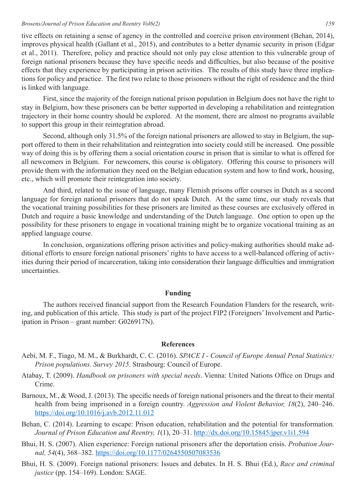tive effects on retaining a sense of agency in the controlled and coercive prison environment (Behan, 2014), improves physical health (Gallant et al., 2015), and contributes to a better dynamic security in prison (Edgar et al., 2011). Therefore, policy and practice should not only pay close attention to this vulnerable group of foreign national prisoners because they have specific needs and difficulties, but also because of the positive effects that they experience by participating in prison activities. The results of this study have three implications for policy and practice. The first two relate to those prisoners without the right of residence and the third is linked with language.

First, since the majority of the foreign national prison population in Belgium does not have the right to stay in Belgium, how these prisoners can be better supported in developing a rehabilitation and reintegration trajectory in their home country should be explored. At the moment, there are almost no programs available to support this group in their reintegration abroad.

Second, although only 31.5% of the foreign national prisoners are allowed to stay in Belgium, the support offered to them in their rehabilitation and reintegration into society could still be increased. One possible way of doing this is by offering them a social orientation course in prison that is similar to what is offered for all newcomers in Belgium. For newcomers, this course is obligatory. Offering this course to prisoners will provide them with the information they need on the Belgian education system and how to find work, housing, etc., which will promote their reintegration into society.

And third, related to the issue of language, many Flemish prisons offer courses in Dutch as a second language for foreign national prisoners that do not speak Dutch. At the same time, our study reveals that the vocational training possibilities for these prisoners are limited as these courses are exclusively offered in Dutch and require a basic knowledge and understanding of the Dutch language. One option to open up the possibility for these prisoners to engage in vocational training might be to organize vocational training as an applied language course.

In conclusion, organizations offering prison activities and policy-making authorities should make additional efforts to ensure foreign national prisoners' rights to have access to a well-balanced offering of activities during their period of incarceration, taking into consideration their language difficulties and immigration uncertainties.

# **Funding**

The authors received financial support from the Research Foundation Flanders for the research, writing, and publication of this article. This study is part of the project FIP2 (Foreigners' Involvement and Participation in Prison – grant number: G026917N).

### **References**

- Aebi, M. F., Tiago, M. M., & Burkhardt, C. C. (2016). *SPACE I Council of Europe Annual Penal Statistics: Prison populations. Survey 2015*. Strasbourg: Council of Europe.
- Atabay, T. (2009). *Handbook on prisoners with special needs*. Vienna: United Nations Office on Drugs and Crime.
- Barnoux, M., & Wood, J. (2013). The specific needs of foreign national prisoners and the threat to their mental health from being imprisoned in a foreign country. *Aggression and Violent Behavior, 18*(2), 240–246. https://doi.org/10.1016/j.avb.2012.11.012
- Behan, C. (2014). Learning to escape: Prison education, rehabilitation and the potential for transformation. *Journal of Prison Education and Reentry, 1*(1), 20–31. http://dx.doi.org/10.15845/jper.v1i1.594
- Bhui, H. S. (2007). Alien experience: Foreign national prisoners after the deportation crisis. *Probation Journal, 54*(4), 368–382. https://doi.org/10.1177/0264550507083536
- Bhui, H. S. (2009). Foreign national prisoners: Issues and debates. In H. S. Bhui (Ed.), *Race and criminal justice* (pp. 154–169). London: SAGE.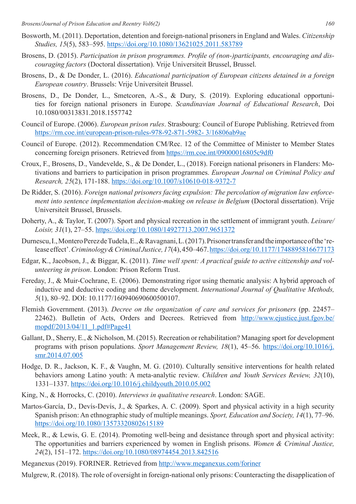- Bosworth, M. (2011). Deportation, detention and foreign-national prisoners in England and Wales. *Citizenship Studies, 15*(5), 583–595. https://doi.org/10.1080/13621025.2011.583789
- Brosens, D. (2015). *Participation in prison programmes. Profile of (non-)participants, encouraging and discouraging factors* (Doctoral dissertation). Vrije Universiteit Brussel, Brussel.
- Brosens, D., & De Donder, L. (2016). *Educational participation of European citizens detained in a foreign European country*. Brussels: Vrije Universiteit Brussel.
- Brosens, D., De Donder, L., Smetcoren, A.-S., & Dury, S. (2019). Exploring educational opportunities for foreign national prisoners in Europe. *Scandinavian Journal of Educational Research*, Doi 10.1080/00313831.2018.1557742
- Council of Europe. (2006). *European prison rules*. Strasbourg: Council of Europe Publishing. Retrieved from https://rm.coe.int/european-prison-rules-978-92-871-5982- 3/16806ab9ae
- Council of Europe. (2012). Recommendation CM/Rec. 12 of the Committee of Minister to Member States concerning foreign prisoners. Retrieved from https://rm.coe.int/09000016805c9df0
- Croux, F., Brosens, D., Vandevelde, S., & De Donder, L., (2018). Foreign national prisoners in Flanders: Motivations and barriers to participation in prison programmes. *European Journal on Criminal Policy and Research, 25*(2), 171-188. https://doi.org/10.1007/s10610-018-9372-7
- De Ridder, S. (2016). *Foreign national prisoners facing expulsion: The percolation of migration law enforcement into sentence implementation decision-making on release in Belgium* (Doctoral dissertation). Vrije Universiteit Brussel, Brussels.
- Doherty, A., & Taylor, T. (2007). Sport and physical recreation in the settlement of immigrant youth. *Leisure/ Loisir, 31*(1), 27–55. https://doi.org/10.1080/14927713.2007.9651372
- Durnescu, I., Montero Perez de Tudela, E., & Ravagnani, L. (2017). Prisoner transfer and the importance of the 'release effect'. *Criminology & Criminal Justice, 17*(4), 450–467. https://doi.org/10.1177/1748895816677173
- Edgar, K., Jacobson, J., & Biggar, K. (2011). *Time well spent: A practical guide to active citizenship and volunteering in prison*. London: Prison Reform Trust.
- Fereday, J., & Muir-Cochrane, E. (2006). Demonstrating rigor using thematic analysis: A hybrid approach of inductive and deductive coding and theme development. *International Journal of Qualitative Methods, 5*(1), 80–92. DOI: 10.1177/160940690600500107.
- Flemish Government. (2013). *Decree on the organization of care and services for prisoners* (pp. 22457– 22462). Bulletin of Acts, Orders and Decrees. Retrieved from http://www.ejustice.just.fgov.be/ mopdf/2013/04/11\_1.pdf#Page41
- Gallant, D., Sherry, E., & Nicholson, M. (2015). Recreation or rehabilitation? Managing sport for development programs with prison populations. *Sport Management Review, 18*(1), 45–56. https://doi.org/10.1016/j. smr.2014.07.005
- Hodge, D. R., Jackson, K. F., & Vaughn, M. G. (2010). Culturally sensitive interventions for health related behaviors among Latino youth: A meta-analytic review. *Children and Youth Services Review, 32*(10), 1331–1337. https://doi.org/10.1016/j.childyouth.2010.05.002
- King, N., & Horrocks, C. (2010). *Interviews in qualitative research*. London: SAGE.
- Martos-García, D., Devís-Devís, J., & Sparkes, A. C. (2009). Sport and physical activity in a high security Spanish prison: An ethnographic study of multiple meanings. *Sport, Education and Society, 14*(1), 77–96. https://doi.org/10.1080/13573320802615189
- Meek, R., & Lewis, G. E. (2014). Promoting well-being and desistance through sport and physical activity: The opportunities and barriers experienced by women in English prisons. *Women & Criminal Justice, 24*(2), 151–172. https://doi.org/10.1080/08974454.2013.842516
- Meganexus (2019). FORINER. Retrieved from http://www.meganexus.com/foriner
- Mulgrew, R. (2018). The role of oversight in foreign-national only prisons: Counteracting the disapplication of